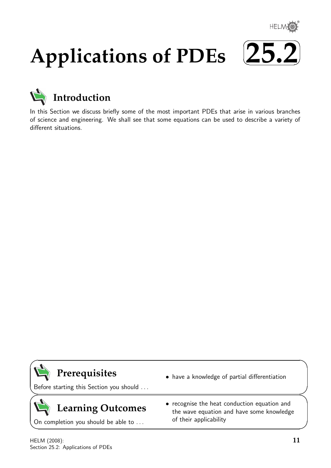

# **Applications of PDEs**





In this Section we discuss briefly some of the most important PDEs that arise in various branches of science and engineering. We shall see that some equations can be used to describe a variety of different situations.



 $\geq$ 

 $\geq$ 

 $\overline{\phantom{0}}$ 

# **Prerequisites**

Before starting this Section you should . . .

# **Learning Outcomes**

On completion you should be able to ...

- have a knowledge of partial differentiation
- recognise the heat conduction equation and the wave equation and have some knowledge of their applicability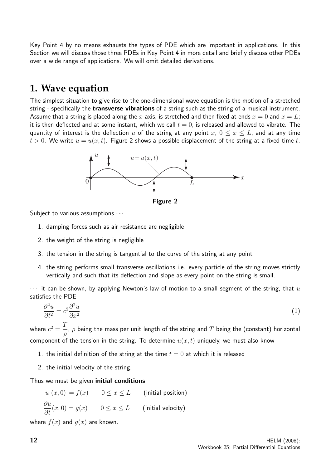Key Point 4 by no means exhausts the types of PDE which are important in applications. In this Section we will discuss those three PDEs in Key Point 4 in more detail and briefly discuss other PDEs over a wide range of applications. We will omit detailed derivations.

### **1. Wave equation**

The simplest situation to give rise to the one-dimensional wave equation is the motion of a stretched string - specifically the **transverse vibrations** of a string such as the string of a musical instrument. Assume that a string is placed along the x-axis, is stretched and then fixed at ends  $x = 0$  and  $x = L$ ; it is then deflected and at some instant, which we call  $t = 0$ , is released and allowed to vibrate. The quantity of interest is the deflection u of the string at any point  $x, 0 \le x \le L$ , and at any time  $t > 0$ . We write  $u = u(x, t)$ . Figure 2 shows a possible displacement of the string at a fixed time t.



Figure 2

Subject to various assumptions  $\cdots$ 

- 1. damping forces such as air resistance are negligible
- 2. the weight of the string is negligible
- 3. the tension in the string is tangential to the curve of the string at any point
- 4. the string performs small transverse oscillations i.e. every particle of the string moves strictly vertically and such that its deflection and slope as every point on the string is small.

 $\cdots$  it can be shown, by applying Newton's law of motion to a small segment of the string, that  $u$ satisfies the PDE

$$
\frac{\partial^2 u}{\partial t^2} = c^2 \frac{\partial^2 u}{\partial x^2} \tag{1}
$$

where  $c^2 = \frac{T}{T}$ ρ ,  $\rho$  being the mass per unit length of the string and  $T$  being the (constant) horizontal component of the tension in the string. To determine  $u(x, t)$  uniquely, we must also know

- 1. the initial definition of the string at the time  $t = 0$  at which it is released
- 2. the initial velocity of the string.

Thus we must be given initial conditions

$$
u(x,0) = f(x) \qquad 0 \le x \le L \qquad \text{(initial position)}
$$

$$
\frac{\partial u}{\partial t}(x,0) = g(x) \qquad 0 \le x \le L \qquad \text{(initial velocity)}
$$

where  $f(x)$  and  $g(x)$  are known.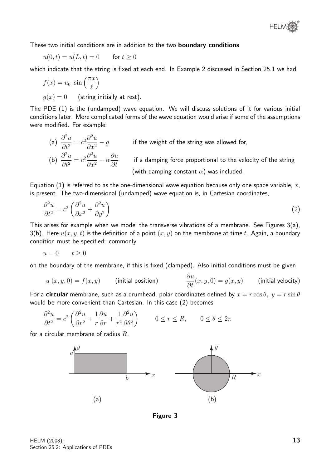

These two initial conditions are in addition to the two **boundary conditions** 

$$
u(0,t) = u(L,t) = 0 \qquad \text{for } t \ge 0
$$

which indicate that the string is fixed at each end. In Example 2 discussed in Section 25.1 we had

$$
f(x) = u_0 \sin\left(\frac{\pi x}{\ell}\right)
$$
  
 
$$
g(x) = 0 \qquad \text{(string initially at rest)}.
$$

The PDE (1) is the (undamped) wave equation. We will discuss solutions of it for various initial conditions later. More complicated forms of the wave equation would arise if some of the assumptions were modified. For example:

(a)  $\frac{\partial^2 u}{\partial x^2}$  $rac{\partial^2 u}{\partial t^2} = c^2 \frac{\partial^2 u}{\partial x^2}$  $\partial x^2$  $-g$  if the weight of the string was allowed for, (b)  $\frac{\partial^2 u}{\partial t^2}$  $rac{\partial^2 u}{\partial t^2} = c^2 \frac{\partial^2 u}{\partial x^2}$  $\partial x^2$  $-\alpha \frac{\partial u}{\partial t}$  $\frac{\partial \alpha}{\partial t}$  if a damping force proportional to the velocity of the string (with damping constant  $\alpha$ ) was included.

Equation (1) is referred to as the one-dimensional wave equation because only one space variable,  $x$ , is present. The two-dimensional (undamped) wave equation is, in Cartesian coordinates,

$$
\frac{\partial^2 u}{\partial t^2} = c^2 \left( \frac{\partial^2 u}{\partial x^2} + \frac{\partial^2 u}{\partial y^2} \right) \tag{2}
$$

This arises for example when we model the transverse vibrations of a membrane. See Figures 3(a), 3(b). Here  $u(x, y, t)$  is the definition of a point  $(x, y)$  on the membrane at time t. Again, a boundary condition must be specified: commonly

$$
u = 0 \qquad t \ge 0
$$

on the boundary of the membrane, if this is fixed (clamped). Also initial conditions must be given

$$
u(x, y, 0) = f(x, y)
$$
 (initial position)  $\frac{\partial u}{\partial t}(x, y, 0) = g(x, y)$  (initial velocity)

For a **circular** membrane, such as a drumhead, polar coordinates defined by  $x = r \cos \theta$ ,  $y = r \sin \theta$ would be more convenient than Cartesian. In this case (2) becomes

$$
\frac{\partial^2 u}{\partial t^2} = c^2 \left( \frac{\partial^2 u}{\partial r^2} + \frac{1}{r} \frac{\partial u}{\partial r} + \frac{1}{r^2} \frac{\partial^2 u}{\partial \theta^2} \right) \qquad 0 \le r \le R, \qquad 0 \le \theta \le 2\pi
$$

for a circular membrane of radius  $R$ .



Figure 3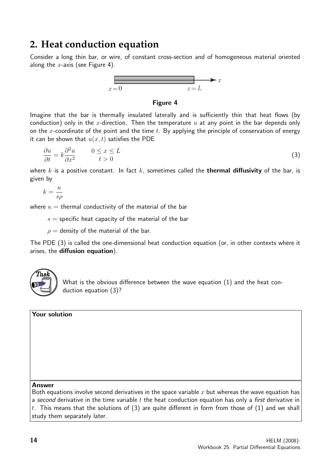## **2. Heat conduction equation**

Consider a long thin bar, or wire, of constant cross-section and of homogeneous material oriented along the  $x$ -axis (see Figure 4).



#### Figure 4

Imagine that the bar is thermally insulated laterally and is sufficiently thin that heat flows (by conduction) only in the x-direction. Then the temperature  $u$  at any point in the bar depends only on the x-coordinate of the point and the time t. By applying the principle of conservation of energy it can be shown that  $u(x, t)$  satisfies the PDE

$$
\frac{\partial u}{\partial t} = k \frac{\partial^2 u}{\partial x^2} \qquad 0 \le x \le L \tag{3}
$$

where k is a positive constant. In fact k, sometimes called the **thermal diffusivity** of the bar, is given by

$$
k = \frac{\kappa}{s\rho}
$$

where  $\kappa =$  thermal conductivity of the material of the bar

 $s =$  specific heat capacity of the material of the bar

 $\rho =$  density of the material of the bar.

The PDE (3) is called the one-dimensional heat conduction equation (or, in other contexts where it arises, the diffusion equation).



What is the obvious difference between the wave equation (1) and the heat conduction equation (3)?

Your solution

#### Answer

Both equations involve second derivatives in the space variable  $x$  but whereas the wave equation has a second derivative in the time variable t the heat conduction equation has only a first derivative in t. This means that the solutions of  $(3)$  are quite different in form from those of  $(1)$  and we shall study them separately later.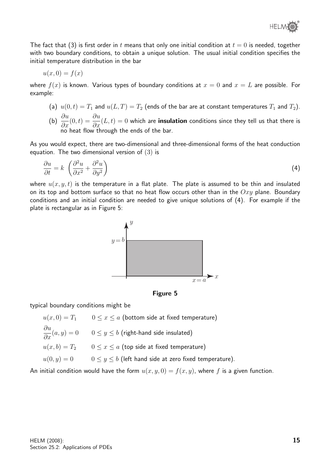The fact that (3) is first order in t means that only one initial condition at  $t = 0$  is needed, together with two boundary conditions, to obtain a unique solution. The usual initial condition specifies the initial temperature distribution in the bar

$$
u(x,0) = f(x)
$$

where  $f(x)$  is known. Various types of boundary conditions at  $x = 0$  and  $x = L$  are possible. For example:

- (a)  $u(0, t) = T_1$  and  $u(L, T) = T_2$  (ends of the bar are at constant temperatures  $T_1$  and  $T_2$ ).
- (b)  $\frac{\partial u}{\partial x}(0,t) = \frac{\partial u}{\partial x}(L,t) = 0$  which are **insulation** conditions since they tell us that there is no heat flow through the ends of the bar.

As you would expect, there are two-dimensional and three-dimensional forms of the heat conduction equation. The two dimensional version of (3) is

$$
\frac{\partial u}{\partial t} = k \left( \frac{\partial^2 u}{\partial x^2} + \frac{\partial^2 u}{\partial y^2} \right) \tag{4}
$$

where  $u(x, y, t)$  is the temperature in a flat plate. The plate is assumed to be thin and insulated on its top and bottom surface so that no heat flow occurs other than in the  $Oxy$  plane. Boundary conditions and an initial condition are needed to give unique solutions of (4). For example if the plate is rectangular as in Figure 5:





typical boundary conditions might be

 $u(x, 0) = T_1$   $0 \le x \le a$  (bottom side at fixed temperature)  $\displaystyle \frac{\partial u}{\partial x} (a,y) = 0 \qquad 0 \leq y \leq b$  (right-hand side insulated)  $u(x, b) = T_2$  0  $\le x \le a$  (top side at fixed temperature)  $u(0, y) = 0$   $0 \le y \le b$  (left hand side at zero fixed temperature).

An initial condition would have the form  $u(x, y, 0) = f(x, y)$ , where f is a given function.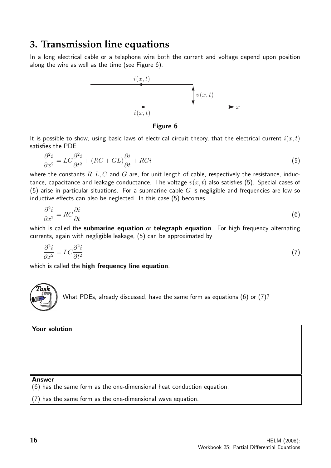### **3. Transmission line equations**

In a long electrical cable or a telephone wire both the current and voltage depend upon position along the wire as well as the time (see Figure 6).



Figure 6

It is possible to show, using basic laws of electrical circuit theory, that the electrical current  $i(x, t)$ satisfies the PDE

$$
\frac{\partial^2 i}{\partial x^2} = LC \frac{\partial^2 i}{\partial t^2} + (RC + GL) \frac{\partial i}{\partial t} + RGi
$$
\n(5)

where the constants  $R, L, C$  and  $G$  are, for unit length of cable, respectively the resistance, inductance, capacitance and leakage conductance. The voltage  $v(x, t)$  also satisfies (5). Special cases of (5) arise in particular situations. For a submarine cable  $G$  is negligible and frequencies are low so inductive effects can also be neglected. In this case (5) becomes

$$
\frac{\partial^2 i}{\partial x^2} = RC \frac{\partial i}{\partial t} \tag{6}
$$

which is called the submarine equation or telegraph equation. For high frequency alternating currents, again with negligible leakage, (5) can be approximated by

$$
\frac{\partial^2 i}{\partial x^2} = LC \frac{\partial^2 i}{\partial t^2} \tag{7}
$$

which is called the high frequency line equation.

 $\widehat{T}$ as $\widehat{k}$ What PDEs, already discussed, have the same form as equations (6) or (7)?

Your solution

#### Answer

(6) has the same form as the one-dimensional heat conduction equation.

(7) has the same form as the one-dimensional wave equation.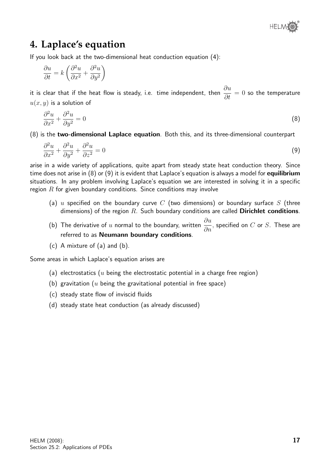# **4. Laplace's equation**

If you look back at the two-dimensional heat conduction equation (4):

$$
\frac{\partial u}{\partial t} = k \left( \frac{\partial^2 u}{\partial x^2} + \frac{\partial^2 u}{\partial y^2} \right)
$$

it is clear that if the heat flow is steady, i.e. time independent, then  $\frac{\partial u}{\partial \theta}$  $\frac{\partial u}{\partial t} = 0$  so the temperature  $u(x, y)$  is a solution of

$$
\frac{\partial^2 u}{\partial x^2} + \frac{\partial^2 u}{\partial y^2} = 0\tag{8}
$$

(8) is the two-dimensional Laplace equation. Both this, and its three-dimensional counterpart

$$
\frac{\partial^2 u}{\partial x^2} + \frac{\partial^2 u}{\partial y^2} + \frac{\partial^2 u}{\partial z^2} = 0
$$
\n(9)

arise in a wide variety of applications, quite apart from steady state heat conduction theory. Since time does not arise in  $(8)$  or  $(9)$  it is evident that Laplace's equation is always a model for **equilibrium** situations. In any problem involving Laplace's equation we are interested in solving it in a specific region  $R$  for given boundary conditions. Since conditions may involve

- (a) u specified on the boundary curve C (two dimensions) or boundary surface S (three dimensions) of the region  $R$ . Such boundary conditions are called **Dirichlet conditions**.
- (b) The derivative of  $u$  normal to the boundary, written  $\frac{\partial u}{\partial u}$  $\frac{\partial}{\partial n}$ , specified on  $C$  or  $S$ . These are referred to as Neumann boundary conditions.
- (c) A mixture of (a) and (b).

Some areas in which Laplace's equation arises are

- (a) electrostatics ( $u$  being the electrostatic potential in a charge free region)
- (b) gravitation ( $u$  being the gravitational potential in free space)
- (c) steady state flow of inviscid fluids
- (d) steady state heat conduction (as already discussed)